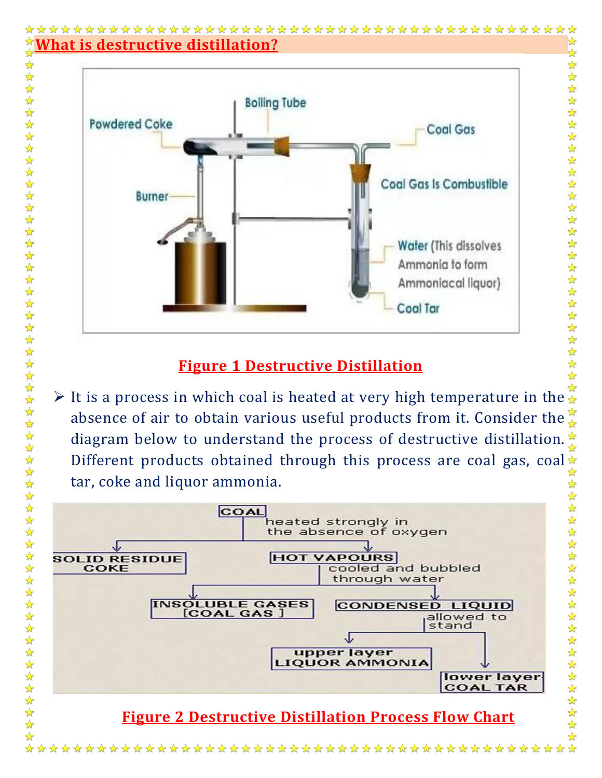#### ☆  $\frac{1}{2}$ **What is destructive distillation?**  $\frac{1}{2}$





女女女女女女女女女女女女女女女女女女女女女女女女女女女女

☆

### **Figure 1 Destructive Distillation**

It is a process in which coal is heated at very high temperature in the  $\mathbb{R}$ absence of air to obtain various useful products from it. Consider the  $\frac{1}{2}$ diagram below to understand the process of destructive distillation. Different products obtained through this process are coal gas, coal  $\star$ tar, coke and liquor ammonia.  $\frac{1}{2}$ 化化化化化化化化化化合物化化合物化合物

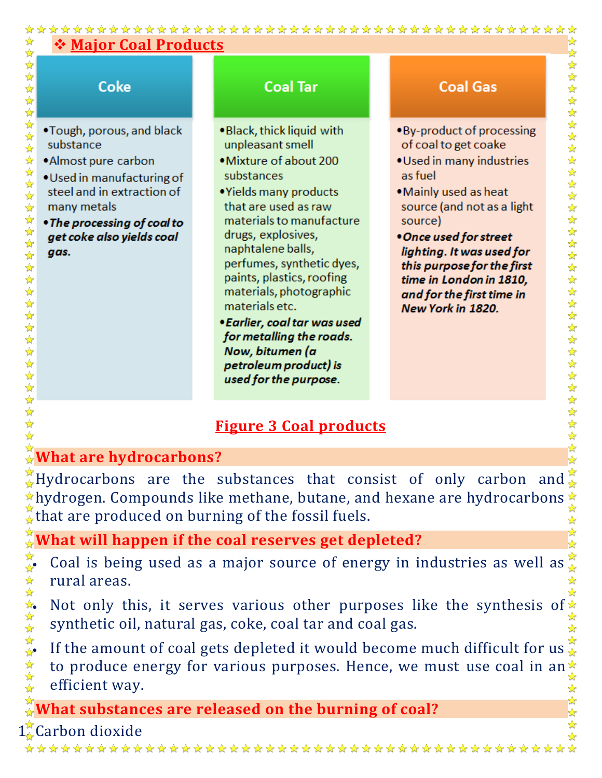### ☆ **Major Coal Products** ☆  $\blacklozenge$  $\frac{1}{2}$  $\frac{1}{2}$  $\frac{1}{\sqrt{2}}$ Coke **Coal Tar Coal Gas**  $\frac{1}{2}$  $\frac{1}{\sqrt{2}}$ 计算 •Tough, porous, and black . Black, thick liquid with • By-product of processing substance unpleasant smell of coal to get coake  $\frac{1}{2}$  $\frac{1}{\sqrt{2}}$ • Mixture of about 200 · Used in many industries •Almost pure carbon 举 substances as fuel • Used in manufacturing of steel and in extraction of • Yields many products • Mainly used as heat  $\frac{1}{\sqrt{2}}$  $\frac{1}{\sqrt{2}}$ that are used as raw many metals source (and not as a light 化水分分子分子分子分子分子分子分子 materials to manufacture source) • The processing of coal to drugs, explosives, get coke also yields coal • Once used for street naphtalene balls, lighting. It was used for gas. perfumes, synthetic dyes, this purpose for the first paints, plastics, roofing time in London in 1810, materials, photographic and for the first time in materials etc. New York in 1820. • Earlier, coal tar was used for metalling the roads. Now, bitumen (a

# **Figure 3 Coal products**

petroleum product) is used for the purpose.

## **What are hydrocarbons?**

 $\frac{1}{\sqrt{2}}$ 

 $\stackrel{\star}{\bullet}$ Hydrocarbons are the substances that consist of only carbon and  $\star$ hydrogen. Compounds like methane, butane, and hexane are hydrocarbons  $\star$ that are produced on burning of the fossil fuels.  $\frac{\lambda}{\lambda}$ 

 $\blacktriangle$ 

华华华

**What will happen if the coal reserves get depleted?**

 $\overleftrightarrow{\bullet}$  Coal is being used as a major source of energy in industries as well as rural areas.  $\frac{\lambda}{\lambda^2}$ 

synthetic oil, natural gas, coke, coal tar and coal gas.

A rural areas.<br>
Not only this, it serves various other purposes like the synthesis of  $\frac{1}{2}$ <br>
synthetic oil, natural gas, coke, coal tar and coal gas.<br>
If the amount of coal gets depleted it would become much difficult If the amount of coal gets depleted it would become much difficult for us  $\mathcal{L}$ to produce energy for various purposes. Hence, we must use coal in an efficient way.

**What substances are released on the burning of coal?**

Carbon dioxide